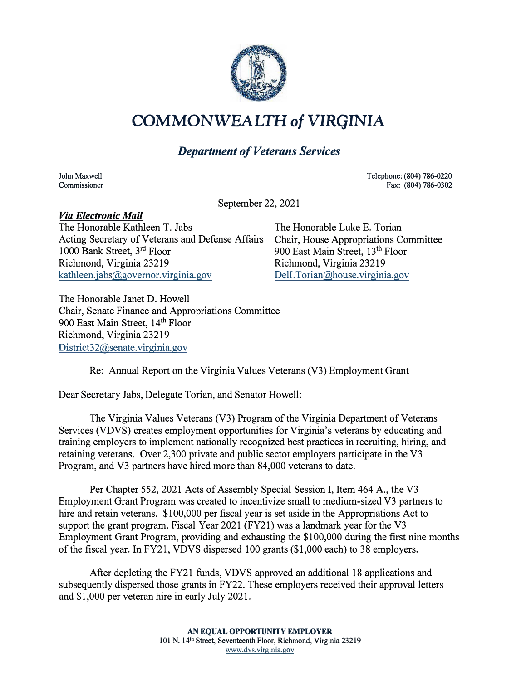

## **COMMONWEALTH** *of* **VIRGINIA**

## *Department of Veterans Services*

John Maxwell Commissioner Telephone: (804) 786-0220 Fax: (804) 786-0302

September 22, 2021

## *Via Electronic Mail*

The Honorable Kathleen T. Jabs The Honorable Luke E. Torian Acting Secretary of Veterans and Defense Affairs 1000 Bank Street, 3 rd Floor Richmond, Virginia 23219  $kathleen.iabs@geovernor.vireinia.gov$ 

Chair, House Appropriations Committee 900 East Main Street, 13<sup>th</sup> Floor Richmond, Virginia 23219 DelL Torian@house.virginia.gov

The Honorable Janet D. Howell Chair, Senate Finance and Appropriations Committee 900 East Main Street, 14<sup>th</sup> Floor Richmond, Virginia 23219 District32@senate.virginia.gov

Re: Annual Report on the Virginia Values Veterans (V3) Employment Grant

Dear Secretary Jabs, Delegate Torian, and Senator Howell:

The Virginia Values Veterans (V3) Program of the Virginia Department of Veterans Services (VDVS) creates employment opportunities for Virginia's veterans by educating and training employers to implement nationally recognized best practices in recruiting, hiring, and retaining veterans. Over 2,300 private and public sector employers participate in the V3 Program, and V3 partners have hired more than 84,000 veterans to date.

Per Chapter 552, 2021 Acts of Assembly Special Session I, Item 464 A., the V3 Employment Grant Program was created to incentivize small to medium-sized V3 partners to hire and retain veterans. \$100,000 per fiscal year is set aside in the Appropriations Act to support the grant program. Fiscal Year 2021 (FY21) was a landmark year for the V3 Employment Grant Program, providing and exhausting the \$100,000 during the first nine months of the fiscal year. In FY21, VDVS dispersed 100 grants (\$1,000 each) to 38 employers.

After depleting the FY21 funds, VDVS approved an additional 18 applications and subsequently dispersed those grants in FY22. These employers received their approval letters and \$1,000 per veteran hire in early July 2021.